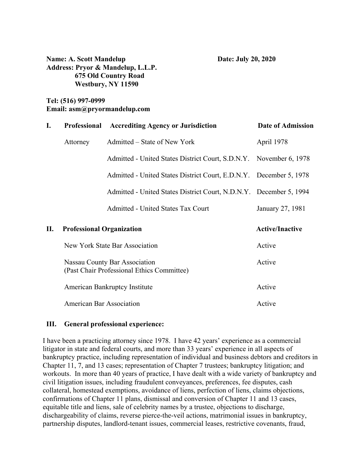**Name: A. Scott Mandelup Date: July 20, 2020 Address: Pryor & Mandelup, L.L.P. 675 Old Country Road Westbury, NY 11590** 

# **Tel: (516) 997-0999 Email: asm@pryormandelup.com**

| I. | <b>Professional</b>                                                         | <b>Accrediting Agency or Jurisdiction</b>                          | Date of Admission      |
|----|-----------------------------------------------------------------------------|--------------------------------------------------------------------|------------------------|
|    | Attorney                                                                    | Admitted – State of New York                                       | April 1978             |
|    |                                                                             | Admitted - United States District Court, S.D.N.Y. November 6, 1978 |                        |
|    |                                                                             | Admitted - United States District Court, E.D.N.Y. December 5, 1978 |                        |
|    |                                                                             | Admitted - United States District Court, N.D.N.Y. December 5, 1994 |                        |
|    |                                                                             | <b>Admitted - United States Tax Court</b>                          | January 27, 1981       |
| П. | <b>Professional Organization</b>                                            |                                                                    | <b>Active/Inactive</b> |
|    | New York State Bar Association                                              |                                                                    | Active                 |
|    | Nassau County Bar Association<br>(Past Chair Professional Ethics Committee) |                                                                    | Active                 |
|    | <b>American Bankruptcy Institute</b>                                        |                                                                    | Active                 |
|    | <b>American Bar Association</b>                                             |                                                                    | Active                 |

#### **III. General professional experience:**

I have been a practicing attorney since 1978. I have 42 years' experience as a commercial litigator in state and federal courts, and more than 33 years' experience in all aspects of bankruptcy practice, including representation of individual and business debtors and creditors in Chapter 11, 7, and 13 cases; representation of Chapter 7 trustees; bankruptcy litigation; and workouts. In more than 40 years of practice, I have dealt with a wide variety of bankruptcy and civil litigation issues, including fraudulent conveyances, preferences, fee disputes, cash collateral, homestead exemptions, avoidance of liens, perfection of liens, claims objections, confirmations of Chapter 11 plans, dismissal and conversion of Chapter 11 and 13 cases, equitable title and liens, sale of celebrity names by a trustee, objections to discharge, dischargeability of claims, reverse pierce-the-veil actions, matrimonial issues in bankruptcy, partnership disputes, landlord-tenant issues, commercial leases, restrictive covenants, fraud,